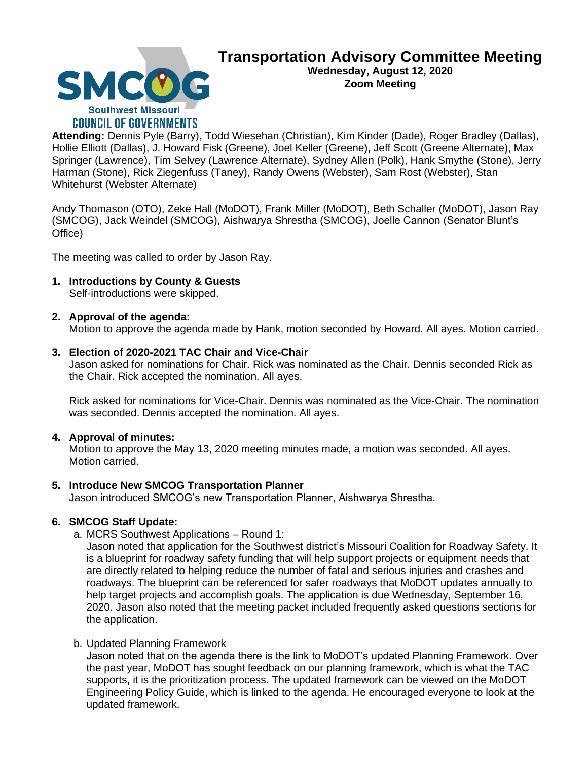

# **Transportation Advisory Committee Meeting Wednesday, August 12, 2020**

**Zoom Meeting**

**Attending:** Dennis Pyle (Barry), Todd Wiesehan (Christian), Kim Kinder (Dade), Roger Bradley (Dallas), Hollie Elliott (Dallas), J. Howard Fisk (Greene), Joel Keller (Greene), Jeff Scott (Greene Alternate), Max Springer (Lawrence), Tim Selvey (Lawrence Alternate), Sydney Allen (Polk), Hank Smythe (Stone), Jerry Harman (Stone), Rick Ziegenfuss (Taney), Randy Owens (Webster), Sam Rost (Webster), Stan Whitehurst (Webster Alternate)

Andy Thomason (OTO), Zeke Hall (MoDOT), Frank Miller (MoDOT), Beth Schaller (MoDOT), Jason Ray (SMCOG), Jack Weindel (SMCOG), Aishwarya Shrestha (SMCOG), Joelle Cannon (Senator Blunt's Office)

The meeting was called to order by Jason Ray.

**1. Introductions by County & Guests** Self-introductions were skipped.

# **2. Approval of the agenda:**

Motion to approve the agenda made by Hank, motion seconded by Howard. All ayes. Motion carried.

# **3. Election of 2020-2021 TAC Chair and Vice-Chair**

Jason asked for nominations for Chair. Rick was nominated as the Chair. Dennis seconded Rick as the Chair. Rick accepted the nomination. All ayes.

Rick asked for nominations for Vice-Chair. Dennis was nominated as the Vice-Chair. The nomination was seconded. Dennis accepted the nomination. All ayes.

# **4. Approval of minutes:**

Motion to approve the May 13, 2020 meeting minutes made, a motion was seconded. All ayes. Motion carried.

# **5. Introduce New SMCOG Transportation Planner**

Jason introduced SMCOG's new Transportation Planner, Aishwarya Shrestha.

# **6. SMCOG Staff Update:**

a. MCRS Southwest Applications – Round 1:

Jason noted that application for the Southwest district's Missouri Coalition for Roadway Safety. It is a blueprint for roadway safety funding that will help support projects or equipment needs that are directly related to helping reduce the number of fatal and serious injuries and crashes and roadways. The blueprint can be referenced for safer roadways that MoDOT updates annually to help target projects and accomplish goals. The application is due Wednesday, September 16, 2020. Jason also noted that the meeting packet included frequently asked questions sections for the application.

#### b. Updated Planning Framework

Jason noted that on the agenda there is the link to MoDOT's updated Planning Framework. Over the past year, MoDOT has sought feedback on our planning framework, which is what the TAC supports, it is the prioritization process. The updated framework can be viewed on the MoDOT Engineering Policy Guide, which is linked to the agenda. He encouraged everyone to look at the updated framework.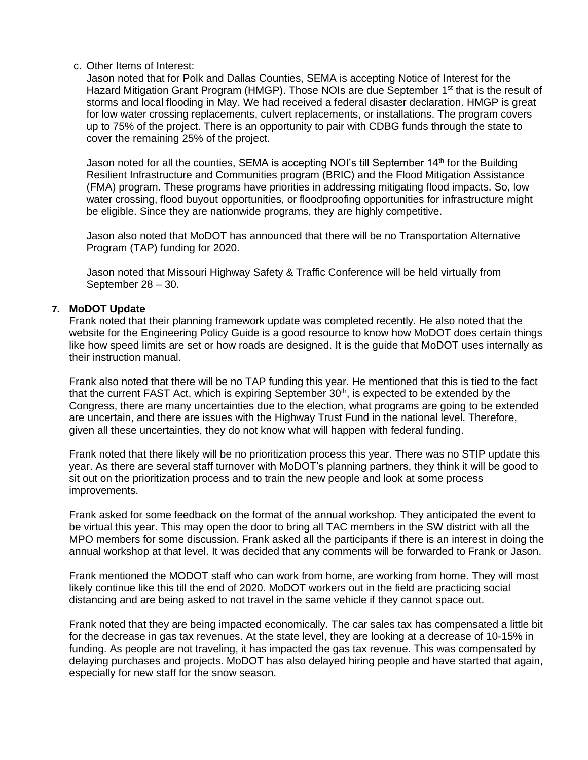#### c. Other Items of Interest:

Jason noted that for Polk and Dallas Counties, SEMA is accepting Notice of Interest for the Hazard Mitigation Grant Program (HMGP). Those NOIs are due September 1<sup>st</sup> that is the result of storms and local flooding in May. We had received a federal disaster declaration. HMGP is great for low water crossing replacements, culvert replacements, or installations. The program covers up to 75% of the project. There is an opportunity to pair with CDBG funds through the state to cover the remaining 25% of the project.

Jason noted for all the counties, SEMA is accepting NOI's till September  $14<sup>th</sup>$  for the Building Resilient Infrastructure and Communities program (BRIC) and the Flood Mitigation Assistance (FMA) program. These programs have priorities in addressing mitigating flood impacts. So, low water crossing, flood buyout opportunities, or floodproofing opportunities for infrastructure might be eligible. Since they are nationwide programs, they are highly competitive.

Jason also noted that MoDOT has announced that there will be no Transportation Alternative Program (TAP) funding for 2020.

Jason noted that Missouri Highway Safety & Traffic Conference will be held virtually from September 28 – 30.

#### **7. MoDOT Update**

Frank noted that their planning framework update was completed recently. He also noted that the website for the Engineering Policy Guide is a good resource to know how MoDOT does certain things like how speed limits are set or how roads are designed. It is the guide that MoDOT uses internally as their instruction manual.

Frank also noted that there will be no TAP funding this year. He mentioned that this is tied to the fact that the current FAST Act, which is expiring September 30<sup>th</sup>, is expected to be extended by the Congress, there are many uncertainties due to the election, what programs are going to be extended are uncertain, and there are issues with the Highway Trust Fund in the national level. Therefore, given all these uncertainties, they do not know what will happen with federal funding.

Frank noted that there likely will be no prioritization process this year. There was no STIP update this year. As there are several staff turnover with MoDOT's planning partners, they think it will be good to sit out on the prioritization process and to train the new people and look at some process improvements.

Frank asked for some feedback on the format of the annual workshop. They anticipated the event to be virtual this year. This may open the door to bring all TAC members in the SW district with all the MPO members for some discussion. Frank asked all the participants if there is an interest in doing the annual workshop at that level. It was decided that any comments will be forwarded to Frank or Jason.

Frank mentioned the MODOT staff who can work from home, are working from home. They will most likely continue like this till the end of 2020. MoDOT workers out in the field are practicing social distancing and are being asked to not travel in the same vehicle if they cannot space out.

Frank noted that they are being impacted economically. The car sales tax has compensated a little bit for the decrease in gas tax revenues. At the state level, they are looking at a decrease of 10-15% in funding. As people are not traveling, it has impacted the gas tax revenue. This was compensated by delaying purchases and projects. MoDOT has also delayed hiring people and have started that again, especially for new staff for the snow season.